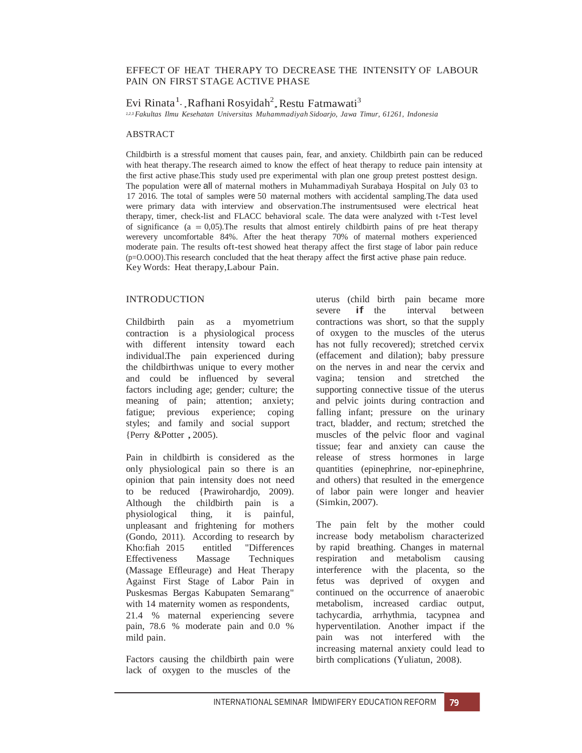# EFFECT OF HEAT THERAPY TO DECREASE THE INTENSITY OF LABOUR PAIN ON FIRST STAGE ACTIVE PHASE

Evi Rinata $^1$  , Rafhani Rosyidah $^2$ , Restu Fatmawati $^3$ 

*1,2,3 Fakultas Ilmu Kesehatan Universitas Muhammadiyah Sidoarjo, Jawa Timur, 61261, Indonesia*

### ABSTRACT

Childbirth is a stressful moment that causes pain, fear, and anxiety. Childbirth pain can be reduced with heat therapy.The research aimed to know the effect of heat therapy to reduce pain intensity at the first active phase.This study used pre experimental with plan one group pretest posttest design. The population were all of maternal mothers in Muhammadiyah Surabaya Hospital on July 03 to 17 2016. The total of samples were 50 maternal mothers with accidental sampling.The data used were primary data with interview and observation.The instrumentsused were electrical heat therapy, timer, check-list and FLACC behavioral scale. The data were analyzed with t-Test level of significance ( $a = 0.05$ ). The results that almost entirely childbirth pains of pre heat therapy werevery uncomfortable 84%. After the heat therapy 70% of maternal mothers experienced moderate pain. The results oft-test showed heat therapy affect the first stage of labor pain reduce (p=O.OOO).This research concluded that the heat therapy affect the first active phase pain reduce. Key Words: Heat therapy,Labour Pain.

## **INTRODUCTION**

Childbirth pain as a myometrium contraction is a physiological process with different intensity toward each individual.The pain experienced during the childbirthwas unique to every mother and could be influenced by several factors including age; gender; culture; the meaning of pain; attention; anxiety; fatigue; previous experience; coping styles; and family and social support {Perry &Potter , 2005).

Pain in childbirth is considered as the only physiological pain so there is an opinion that pain intensity does not need to be reduced {Prawirohardjo, 2009). Although the childbirth pain is a physiological thing, it is painful, unpleasant and frightening for mothers (Gondo, 2011). According to research by Kho:fiah 2015 entitled "Differences Effectiveness Massage Techniques (Massage Effleurage) and Heat Therapy Against First Stage of Labor Pain in Puskesmas Bergas Kabupaten Semarang" with 14 maternity women as respondents, 21.4 % maternal experiencing severe pain, 78.6 % moderate pain and 0.0 % mild pain.

Factors causing the childbirth pain were lack of oxygen to the muscles of the

uterus (child birth pain became more severe if the interval between contractions was short, so that the supply of oxygen to the muscles of the uterus has not fully recovered); stretched cervix (effacement and dilation); baby pressure on the nerves in and near the cervix and vagina; tension and stretched the supporting connective tissue of the uterus and pelvic joints during contraction and falling infant; pressure on the urinary tract, bladder, and rectum; stretched the muscles of the pelvic floor and vaginal tissue; fear and anxiety can cause the release of stress hormones in large quantities (epinephrine, nor-epinephrine, and others) that resulted in the emergence of labor pain were longer and heavier (Simkin, 2007).

The pain felt by the mother could increase body metabolism characterized by rapid breathing. Changes in maternal respiration and metabolism causing interference with the placenta, so the fetus was deprived of oxygen and continued on the occurrence of anaerobic metabolism, increased cardiac output, tachycardia, arrhythmia, tacypnea and hyperventilation. Another impact if the pain was not interfered with the increasing maternal anxiety could lead to birth complications (Yuliatun, 2008).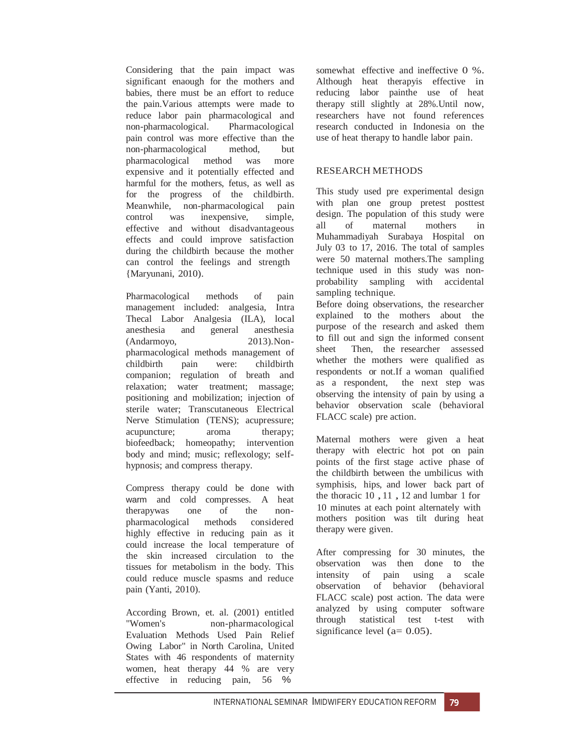Considering that the pain impact was significant enaough for the mothers and babies, there must be an effort to reduce the pain.Various attempts were made to reduce labor pain pharmacological and non-pharmacological. Pharmacological pain control was more effective than the non-pharmacological method, but pharmacological method was more expensive and it potentially effected and harmful for the mothers, fetus, as well as for the progress of the childbirth. Meanwhile, non-pharmacological pain control was inexpensive, simple, effective and without disadvantageous effects and could improve satisfaction during the childbirth because the mother can control the feelings and strength {Maryunani, 2010).

Pharmacological methods of pain management included: analgesia, Intra Thecal Labor Analgesia (ILA), local anesthesia and general anesthesia (Andarmoyo, 2013).Nonpharmacological methods management of childbirth pain were: childbirth companion; regulation of breath and relaxation; water treatment; massage; positioning and mobilization; injection of sterile water; Transcutaneous Electrical Nerve Stimulation (TENS); acupressure; acupuncture; aroma therapy; biofeedback; homeopathy; intervention body and mind; music; reflexology; selfhypnosis; and compress therapy.

Compress therapy could be done with warm and cold compresses. A heat therapywas one of the nonpharmacological methods considered highly effective in reducing pain as it could increase the local temperature of the skin increased circulation to the tissues for metabolism in the body. This could reduce muscle spasms and reduce pain (Yanti, 2010).

According Brown, et. al. (2001) entitled "Women's non-pharmacological Evaluation Methods Used Pain Relief Owing Labor" in North Carolina, United States with 46 respondents of maternity women, heat therapy 44 % are very effective in reducing pain, 56 %

somewhat effective and ineffective 0 %. Although heat therapyis effective in reducing labor painthe use of heat therapy still slightly at 28%.Until now, researchers have not found references research conducted in Indonesia on the use of heat therapy to handle labor pain.

# RESEARCH METHODS

This study used pre experimental design with plan one group pretest posttest design. The population of this study were all of maternal mothers in Muhammadiyah Surabaya Hospital on July 03 to 17, 2016. The total of samples were 50 maternal mothers.The sampling technique used in this study was nonprobability sampling with accidental sampling technique.

Before doing observations, the researcher explained to the mothers about the purpose of the research and asked them to fill out and sign the informed consent sheet Then, the researcher assessed whether the mothers were qualified as respondents or not.If a woman qualified as a respondent, the next step was observing the intensity of pain by using a behavior observation scale (behavioral FLACC scale) pre action.

Maternal mothers were given a heat therapy with electric hot pot on pain points of the first stage active phase of the childbirth between the umbilicus with symphisis, hips, and lower back part of the thoracic <sup>10</sup> , <sup>11</sup> , <sup>12</sup> and lumbar <sup>1</sup> for 10 minutes at each point alternately with mothers position was tilt during heat therapy were given.

After compressing for 30 minutes, the observation was then done to the intensity of pain using a scale observation of behavior (behavioral FLACC scale) post action. The data were analyzed by using computer software through statistical test t-test with significance level ( $a= 0.05$ ).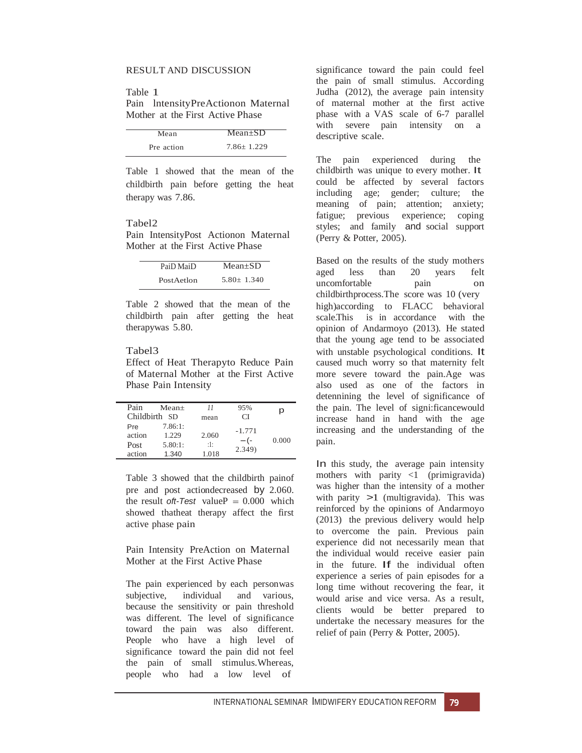### RESULT AND DISCUSSION

Table 1

Pain lntensityPreActionon Maternal Mother at the First Active Phase

| Mean       | $Mean+SD$      |
|------------|----------------|
| Pre action | $7.86 + 1.229$ |

Table 1 showed that the mean of the childbirth pain before getting the heat therapy was 7.86.

#### Tabel2

Pain IntensityPost Actionon Maternal Mother at the First Active Phase

| PaiD MaiD  | $Mean+SD$      |
|------------|----------------|
| PostAetlon | $5.80 + 1.340$ |

Table 2 showed that the mean of the childbirth pain after getting the heat therapywas 5.80.

# Tabel3

Effect of Heat Therapyto Reduce Pain of Maternal Mother at the First Active Phase Pain Intensity

| Pain          | $Mean+$ | 11    | 95%      | p     |
|---------------|---------|-------|----------|-------|
| Childbirth SD |         | mean  | СI       |       |
| Pre           | 7.86:1: |       | $-1.771$ |       |
| action        | 1.229   | 2.060 | $-(-$    | 0.000 |
| Post          | 5.80:1: | :1:   |          |       |
| action        | 1.340   | 1.018 | 2.349)   |       |

Table 3 showed that the childbirth painof pre and post actiondecreased by 2.060. the result *oft-Test* value  $P = 0.000$  which showed thatheat therapy affect the first active phase pain

Pain Intensity PreAction on Maternal Mother at the First Active Phase

The pain experienced by each personwas subjective, individual and various, because the sensitivity or pain threshold was different. The level of significance toward the pain was also different. People who have a high level of significance toward the pain did not feel the pain of small stimulus.Whereas, people who had a low level of

significance toward the pain could feel the pain of small stimulus. According Judha (2012), the average pain intensity of maternal mother at the first active phase with a VAS scale of 6-7 parallel with severe pain intensity on a descriptive scale.

The pain experienced during the childbirth was unique to every mother. It could be affected by several factors including age; gender; culture; the meaning of pain; attention; anxiety; fatigue; previous experience; coping styles; and family and social support (Perry & Potter, 2005).

Based on the results of the study mothers aged less than 20 years felt uncomfortable pain on childbirthprocess.The score was 10 (very high)according to FLACC behavioral scale.This is in accordance with the opinion of Andarmoyo (2013). He stated that the young age tend to be associated with unstable psychological conditions. It caused much worry so that maternity felt more severe toward the pain.Age was also used as one of the factors in detennining the level of significance of the pain. The level of signi:ficancewould increase hand in hand with the age increasing and the understanding of the pain.

In this study, the average pain intensity mothers with parity  $\langle 1 \rangle$  (primigravida) was higher than the intensity of a mother with parity  $>1$  (multigravida). This was reinforced by the opinions of Andarmoyo (2013) the previous delivery would help to overcome the pain. Previous pain experience did not necessarily mean that the individual would receive easier pain in the future. If the individual often experience a series of pain episodes for a long time without recovering the fear, it would arise and vice versa. As a result, clients would be better prepared to undertake the necessary measures for the relief of pain (Perry & Potter, 2005).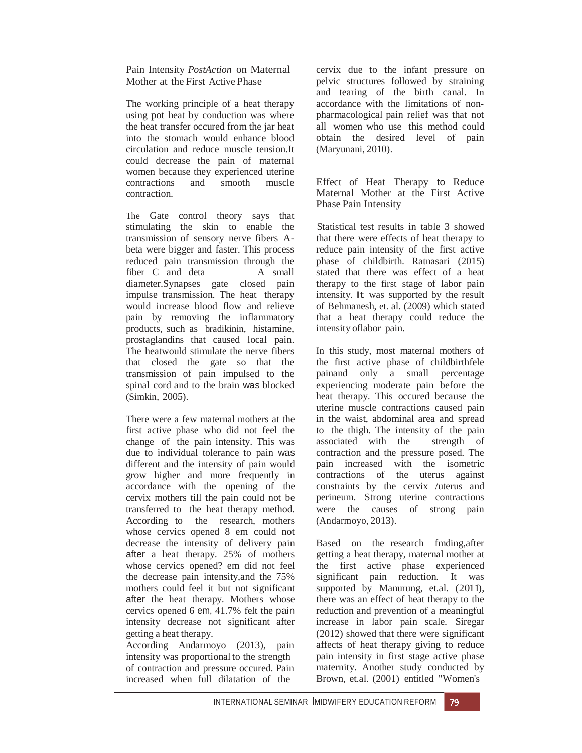Pain Intensity *PostAction* on Maternal Mother at the First Active Phase

The working principle of a heat therapy using pot heat by conduction was where the heat transfer occured from the jar heat into the stomach would enhance blood circulation and reduce muscle tension.It could decrease the pain of maternal women because they experienced uterine contractions and smooth muscle contraction.

The Gate control theory says that stimulating the skin to enable the transmission of sensory nerve fibers Abeta were bigger and faster. This process reduced pain transmission through the fiber C and deta A small diameter.Synapses gate closed pain impulse transmission. The heat therapy would increase blood flow and relieve pain by removing the inflammatory products, such as bradikinin, histamine, prostaglandins that caused local pain. The heatwould stimulate the nerve fibers that closed the gate so that the transmission of pain impulsed to the spinal cord and to the brain was blocked (Simkin, 2005).

There were a few maternal mothers at the first active phase who did not feel the change of the pain intensity. This was due to individual tolerance to pain was different and the intensity of pain would grow higher and more frequently in accordance with the opening of the cervix mothers till the pain could not be transferred to the heat therapy method. According to the research, mothers whose cervics opened 8 em could not decrease the intensity of delivery pain after a heat therapy. 25% of mothers whose cervics opened? em did not feel the decrease pain intensity,and the 75% mothers could feel it but not significant after the heat therapy. Mothers whose cervics opened 6 em, 41.7% felt the pain intensity decrease not significant after getting a heat therapy.

According Andarmoyo (2013), pain intensity was proportional to the strength of contraction and pressure occured. Pain increased when full dilatation of the

cervix due to the infant pressure on pelvic structures followed by straining and tearing of the birth canal. In accordance with the limitations of nonpharmacological pain relief was that not all women who use this method could obtain the desired level of pain (Maryunani, 2010).

Effect of Heat Therapy to Reduce Maternal Mother at the First Active Phase Pain Intensity

Statistical test results in table 3 showed that there were effects of heat therapy to reduce pain intensity of the first active phase of childbirth. Ratnasari (2015) stated that there was effect of a heat therapy to the first stage of labor pain intensity. It was supported by the result of Behmanesh, et. al. (2009) which stated that a heat therapy could reduce the intensity oflabor pain.

In this study, most maternal mothers of the first active phase of childbirthfele painand only a small percentage experiencing moderate pain before the heat therapy. This occured because the uterine muscle contractions caused pain in the waist, abdominal area and spread to the thigh. The intensity of the pain associated with the strength of contraction and the pressure posed. The pain increased with the isometric contractions of the uterus against constraints by the cervix /uterus and perineum. Strong uterine contractions were the causes of strong pain (Andarmoyo, 2013).

Based on the research fmding,after getting a heat therapy, maternal mother at the first active phase experienced significant pain reduction. It was supported by Manurung, et.al.  $(2011)$ , there was an effect of heat therapy to the reduction and prevention of a meaningful increase in labor pain scale. Siregar (2012) showed that there were significant affects of heat therapy giving to reduce pain intensity in first stage active phase maternity. Another study conducted by Brown, et.al. (2001) entitled "Women's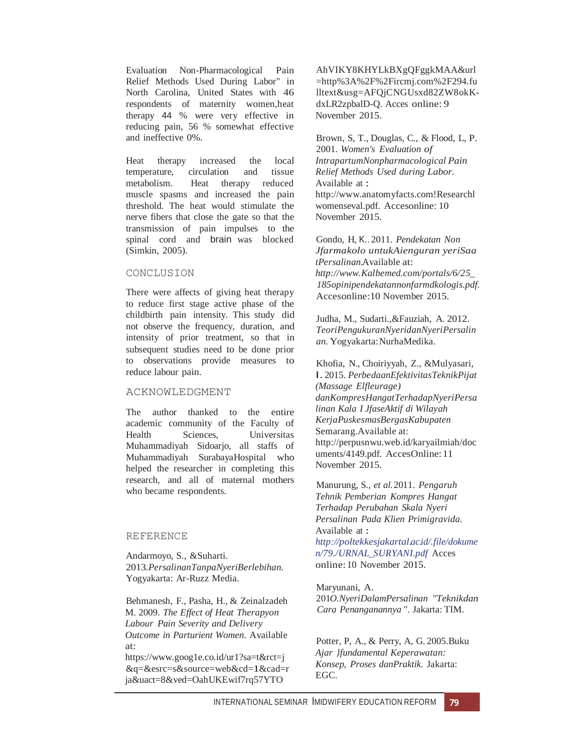Evaluation Non-Pharmacological Pain Relief Methods Used During Labor" in North Carolina, United States with 46 respondents of maternity women,heat therapy 44 % were very effective in reducing pain, 56 % somewhat effective and ineffective 0%.

Heat therapy increased the local temperature, circulation and tissue metabolism. Heat therapy reduced muscle spasms and increased the pain threshold. The heat would stimulate the nerve fibers that close the gate so that the transmission of pain impulses to the spinal cord and brain was blocked (Simkin, 2005).

### CONCLUSION

There were affects of giving heat therapy to reduce first stage active phase of the childbirth pain intensity. This study did not observe the frequency, duration, and intensity of prior treatment, so that in subsequent studies need to be done prior to observations provide measures to reduce labour pain.

# ACKNOWLEDGMENT

The author thanked to the entire academic community of the Faculty of Health Sciences, Universitas Muhammadiyah Sidoarjo, all staffs of Muhammadiyah SurabayaHospital who helped the researcher in completing this research, and all of maternal mothers who became respondents.

### REFERENCE

Andarmoyo, S., &Suharti. 2013*.PersalinanTanpaNyeriBerlebihan.* Yogyakarta: Ar-Ruzz Media.

Behmanesh, F., Pasha, H., & Zeinalzadeh M. 2009. *The Effect of Heat Therapyon Labour Pain Severity and Delivery Outcome in Parturient Women.* Available at:

[https://www.goog1e.co.id/ur1?sa=t&rct=j](http://www.goog1e.co.id/ur1?sa=t&rct=j) &q=&esrc=s&source=web&cd=1&cad=r ja&uact=8&ved=OahUKEwif7rq57YTO

AhVIKY8KHYLkBXgQFggkMAA&url =http%3A%2F%2Fircmj.com%2F294.fu lltext&usg=AFQjCNGUsxd82ZW8okKdxLR2zpbalD-Q. Acces online: 9 November 2015.

Brown, S, T., Douglas, C., & Flood, L, P. 2001. *Women's Evaluation of IntrapartumNonpharmacological Pain Relief Methods Used during Labor.*  Available at : http://www.anatomyfacts.com!Researchl womenseval.pdf. Accesonline: 10 November 2015.

Gondo, H, K.. 2011. *Pendekatan Non Jfarmakolo untukAienguran yeriSaa tPersalinan.*Available at: *[http://www.Kalbemed.com/portals/6/25](http://www.kalbemed.com/portals/6/25_)*\_ *185opinipendekatannonfarmdkologis.pdf.* Accesonline:10 November 2015.

Judha, M., Sudarti.,&Fauziah, A. 2012. *TeoriPengukuranNyeridanNyeriPersalin an.* Yogyakarta:NurhaMedika.

Khofia, N., Choiriyyah, Z., &Mulyasari, I. 2015. *PerbedaanEfektivitasTeknikPijat (Massage Elfleurage) danKompresHangatTerhadapNyeriPersa linan Kala I JfaseAktif di Wilayah KerjaPuskesmasBergasKabupaten*  Semarang.Available at: <http://perpusnwu.web.id/karyailmiah/doc> uments/4149.pdf. AccesOnline:11 November 2015.

Manurung, S., *et al.*2011. *Pengaruh Tehnik Pemberian Kompres Hangat Terhadap Perubahan Skala Nyeri Persalinan Pada Klien Primigravida.*  Available at : *<http://poltekkesjakartal.ac.id/.file/dokume> n/79./URNAL*\_*SURYANI.pdf* Acces online:10 November 2015.

Maryunani, A. 201*O.NyeriDalamPersalinan "Teknikdan Cara Penanganannya* ". Jakarta: TIM.

Potter, P, A., & Perry, A, G. 2005.Buku *Ajar }fundamental Keperawatan: Konsep, Proses danPraktik.* Jakarta: EGC.